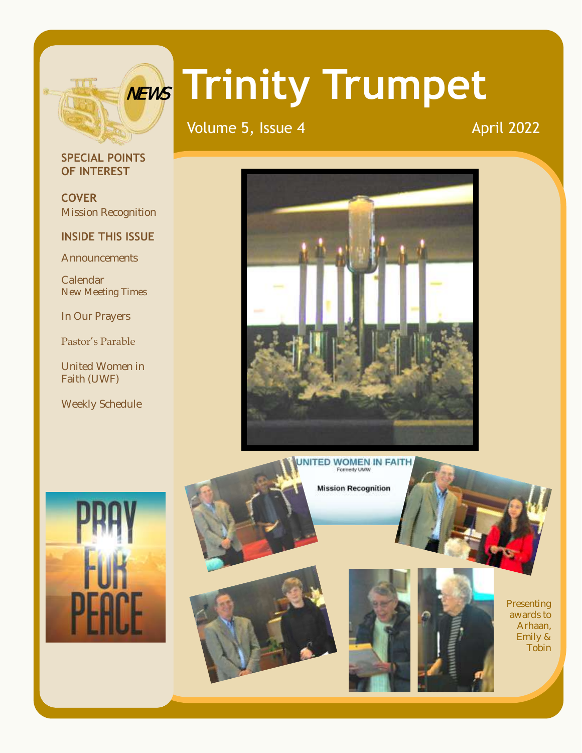

# **Trinity Trumpet** NEWS

Volume 5, Issue 4 April 2022

# **SPECIAL POINTS OF INTEREST**

**COVER** Mission Recognition

# **INSIDE THIS ISSUE**

**Announcements** 

Calendar New Meeting Times

In Our Prayers

Pastor's Parable

United Women in Faith (UWF)

Weekly Schedule



**Mission Recognition** 







Presenting awards to Arhaan, Emily & Tobin

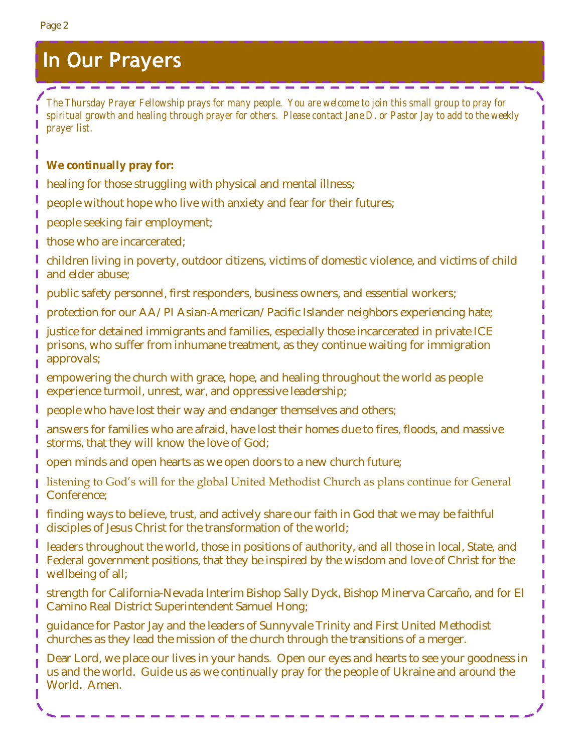# **In Our Prayers**

*The Thursday Prayer Fellowship prays for many people. You are welcome to join this small group to pray for spiritual growth and healing through prayer for others. Please contact Jane D. or Pastor Jay to add to the weekly prayer list.*

**We continually pray for:**

healing for those struggling with physical and mental illness;

 $\sim$ 

people without hope who live with anxiety and fear for their futures;

people seeking fair employment;

those who are incarcerated;

children living in poverty, outdoor citizens, victims of domestic violence, and victims of child and elder abuse;

public safety personnel, first responders, business owners, and essential workers;

protection for our AA/PI Asian-American/Pacific Islander neighbors experiencing hate;

justice for detained immigrants and families, especially those incarcerated in private ICE prisons, who suffer from inhumane treatment, as they continue waiting for immigration approvals;

empowering the church with grace, hope, and healing throughout the world as people experience turmoil, unrest, war, and oppressive leadership;

people who have lost their way and endanger themselves and others;

answers for families who are afraid, have lost their homes due to fires, floods, and massive storms, that they will know the love of God;

open minds and open hearts as we open doors to a new church future;

listening to God's will for the global United Methodist Church as plans continue for General Conference;

finding ways to believe, trust, and actively share our faith in God that we may be faithful disciples of Jesus Christ for the transformation of the world;

leaders throughout the world, those in positions of authority, and all those in local, State, and Federal government positions, that they be inspired by the wisdom and love of Christ for the wellbeing of all;

strength for California-Nevada Interim Bishop Sally Dyck, Bishop Minerva Carcaño, and for El Camino Real District Superintendent Samuel Hong;

guidance for Pastor Jay and the leaders of Sunnyvale Trinity and First United Methodist churches as they lead the mission of the church through the transitions of a merger.

Dear Lord, we place our lives in your hands. Open our eyes and hearts to see your goodness in us and the world. Guide us as we continually pray for the people of Ukraine and around the World. Amen.

I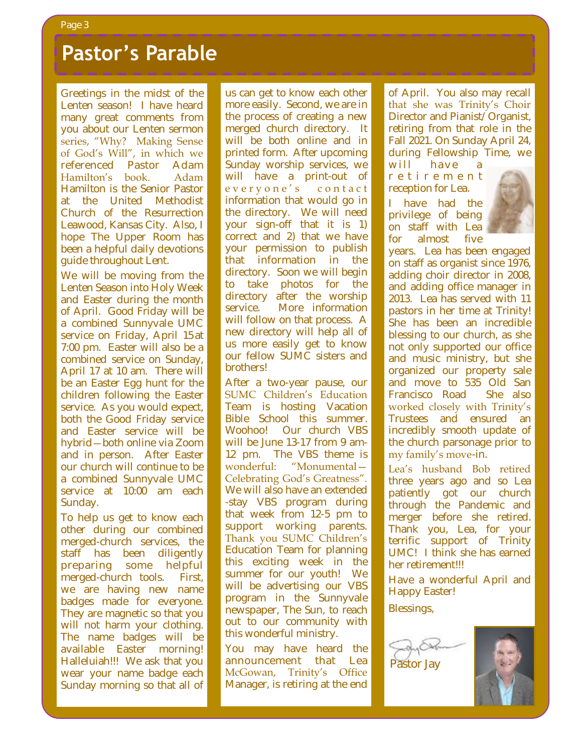# **Pastor's Parable**

Greetings in the midst of the Lenten season! I have heard many great comments from you about our Lenten sermon<br>series, "Why? Making Sense series, why: waxing bense<br>of God's Will", in which we of God's Will, in which we<br>referenced Pastor Adam Hamilton's book. Adam **Hamilton 3 Book.** Traan Trammorr is the Semon Faster<br>at the United Methodist at the Stilled Methodist<br>Church of the Resurrection **Leawood, Kansas City. Also, I** 40 days. hope The Upper Room has been a helpful daily devotions<br>guide throughout Lent. guide throughout Lent. Greetings in the midst of the<br>Lenten season! I have heard<br>many great comments from you about our Lenten sermon

We will be moving from the Lenten Season into Holy Week and Easter during the month of April. Good Friday will be a combined Sunnyvale UMC service on Friday, April 15 at 7:00 pm. Easter will also be a combined service on Sunday, April 17 at 10 am. There will be an Easter Egg hunt for the children following the Easter service. As you would expect,<br>both the Good Friday service bom the Good Friday service<br>and Easter service will be sermon series that references hybrid—both online via Zoom and in person. After Easter and in person. The Easter but and all with commune to be<br>a combined Sunnyvale UMC a sombined barmy vare onto<br>senvice at 10:00 am each service at 10:00 am each.<br>Sundav 7:00 pm. Easter will also be a combined service on Sunday, April 17 at 10 am. There will be an Easter Egg hunt for the service. As you would expect, Sunday.

sanaay.<br>To belp us oet to knew eeeb To help us get to know each<br>ather during our combined other during our combined<br>margael.church.com/isse...the merged-church services, the staff has been diligently preparing some helpful merged-church tools. First, we are having new name badges made for everyone. They are magnetic so that you will not harm your clothing. The name badges will be available Easter morning! Halleluiah!!! We ask that you wear your name badge each Sunday morning so that all of us can get to know each other more easily. Second, we are in the process of creating a new merged charen alreatory. The<br>will be both online and in win be bout online and in primed rom. And apcoming<br>Sunday worship services, we bariday worship scrivices, we<br>will have a print-out of e v e r y o n e ' s contact every one becomment mermation that woald go in *Sunnyvale United Methodist*  your sign-off that it is 1) *Church*. Woodhood and the correct and 2) that we have your permission to publish ged permission to passion with the approach will begin to take photos for the directory after the worship service. More information will follow on that process. A new directory will help all of us more easily get to know our fellow SUMC sisters and brothers! The brothers is to be a strong of the brothers of the brothers of the brothers of the brothers of the brothers of the brothers of the brothers of the brothers of the brothers of the brothers of the brothers of th us can get to know each other<br>more easily. Second, we are in<br>the process of creating a new merged church directory. It

After a two-year pause, our SUMC Children's Education **Team is hosting Vacation** Easter morning. It is an Bible School this summer. Woohoo! Our church VBS will be June 13-17 from 9 am-12 pm. The VBS theme is wonderful: "Monumental-Celebrating God's Greatness". We will also have an extended -stay VBS program during that week from 12-5 pm to support working parents. Thank you SUMC Children's Education Team for planning this exciting week in the summer for our youth! We will be advertising our VBS program in the Sunnyvale newspaper, The Sun, to reach out to our community with this wonderful ministry.

You may have heard the announcement that Lea McGowan, Trinity's Office Manager, is retiring at the end

of April. You also may recall that she was Trinity's Choir Director and Pianist/Organist, retiring from that role in the Fall 2021. On Sunday April 24, during Fellowship Time, we

will have a r e t i r e m e n t reception for Lea.

have had the privilege of being on staff with Lea for almost five



years. Lea has been engaged on staff as organist since 1976, adding choir director in 2008, and adding office manager in 2013. Lea has served with 11 pastors in her time at Trinity! She has been an incredible blessing to our church, as she not only supported our office and music ministry, but she organized our property sale and move to 535 Old San Francisco Road She also worked closely with Trinity's Trustees and ensured an incredibly smooth update of the church parsonage prior to my family's move-in.

Lea's husband Bob retired three years ago and so Lea patiently got our church through the Pandemic and merger before she retired. Thank you, Lea, for your terrific support of Trinity UMC! I think she has earned her retirement!!!

Have a wonderful April and Happy Easter!

Blessings,



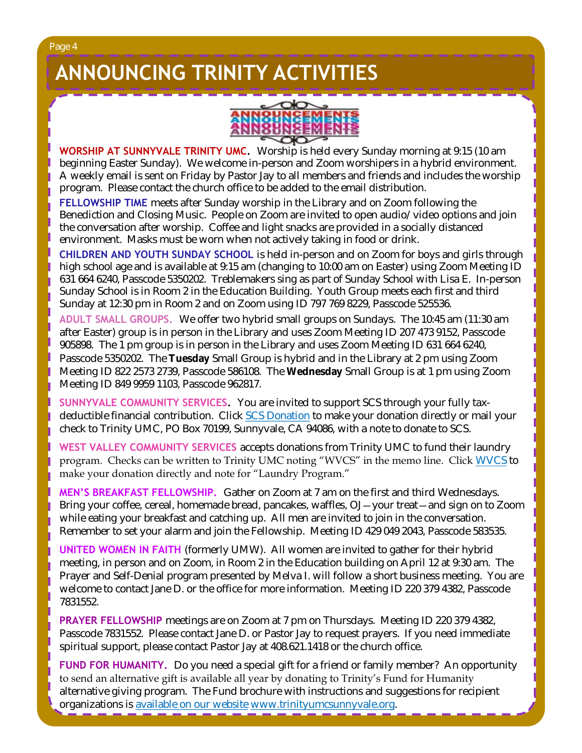# **ANNOUNCING TRINITY ACTIVITIES**



**WORSHIP AT SUNNYVALE TRINITY UMC.** Worship is held every Sunday morning at 9:15 (10 am beginning Easter Sunday). We welcome in-person and Zoom worshipers in a hybrid environment. A weekly email is sent on Friday by Pastor Jay to all members and friends and includes the worship program. Please contact the church office to be added to the email distribution.

**FELLOWSHIP TIME** meets after Sunday worship in the Library and on Zoom following the Benediction and Closing Music. People on Zoom are invited to open audio/video options and join the conversation after worship. Coffee and light snacks are provided in a socially distanced environment. Masks must be worn when not actively taking in food or drink.

**CHILDREN AND YOUTH SUNDAY SCHOOL** is held in-person and on Zoom for boys and girls through high school age and is available at 9:15 am (changing to 10:00 am on Easter) using Zoom Meeting ID 631 664 6240, Passcode 5350202. Treblemakers sing as part of Sunday School with Lisa E. In-person Sunday School is in Room 2 in the Education Building. Youth Group meets each first and third Sunday at 12:30 pm in Room 2 and on Zoom using ID 797 769 8229, Passcode 525536.

**ADULT SMALL GROUPS.** We offer two hybrid small groups on Sundays. The 10:45 am (11:30 am after Easter) group is in person in the Library and uses Zoom Meeting ID 207 473 9152, Passcode 905898. The 1 pm group is in person in the Library and uses Zoom Meeting ID 631 664 6240, Passcode 5350202. The **Tuesday** Small Group is hybrid and in the Library at 2 pm using Zoom Meeting ID 822 2573 2739, Passcode 586108. The **Wednesday** Small Group is at 1 pm using Zoom Meeting ID 849 9959 1103, Passcode 962817.

**SUNNYVALE COMMUNITY SERVICES.** You are invited to support SCS through your fully taxdeductible financial contribution. Click [SCS Donation](https://svcommunityservices.org/donate-online/) to make your donation directly or mail your check to Trinity UMC, PO Box 70199, Sunnyvale, CA 94086, with a note to donate to SCS.

**WEST VALLEY COMMUNITY SERVICES** accepts donations from Trinity UMC to fund their laundry program. Checks can be written to Trinity UMC noting "WVCS" in the memo line. Click [WVCS](https://www.wvcommunityservices.org/donate-now-covid19) to make your donation directly and note for "Laundry Program."

**MEN'S BREAKFAST FELLOWSHIP.** Gather on Zoom at 7 am on the first and third Wednesdays. Bring your coffee, cereal, homemade bread, pancakes, waffles, OJ—your treat—and sign on to Zoom while eating your breakfast and catching up. All men are invited to join in the conversation. Remember to set your alarm and join the Fellowship. Meeting ID 429 049 2043, Passcode 583535.

**UNITED WOMEN IN FAITH** (formerly UMW). All women are invited to gather for their hybrid meeting, in person and on Zoom, in Room 2 in the Education building on April 12 at 9:30 am. The Prayer and Self-Denial program presented by Melva I. will follow a short business meeting. You are welcome to contact Jane D. or the office for more information. Meeting ID 220 379 4382, Passcode 7831552.

**PRAYER FELLOWSHIP** meetings are on Zoom at 7 pm on Thursdays. Meeting ID 220 379 4382, Passcode 7831552. Please contact Jane D. or Pastor Jay to request prayers. If you need immediate spiritual support, please contact Pastor Jay at 408.621.1418 or the church office.

**FUND FOR HUMANITY.** Do you need a special gift for a friend or family member? An opportunity to send an alternative gift is available all year by donating to Trinity's Fund for Humanity alternative giving program. The Fund brochure with instructions and suggestions for recipient organizations is [available on our website](http://www.trinityumcsunnyvale.org/docs/Images/2020%20Web%20Fund%20for%20Humanity.pdf) [www.trinityumcsunnyvale.org.](http://www.trinityumcsunnyvale.org)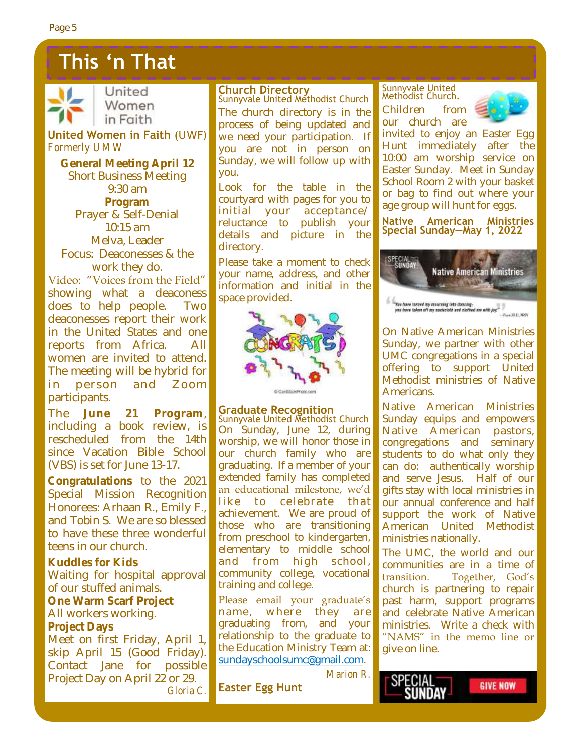# **This 'n That**



United Women in Faith

**United Women in Faith** (UWF) *Formerly UMW*

**General Meeting April 12** Short Business Meeting 9:30 am **Program** Prayer & Self-Denial 10:15 am Melva, Leader Focus: Deaconesses & the work they do.

Video: "Voices from the Field" showing what a deaconess does to help people. Two deaconesses report their work in the United States and one reports from Africa. All women are invited to attend. The meeting will be hybrid for in person and Zoom participants.

The **June 21 Program**, including a book review, is rescheduled from the 14th since Vacation Bible School (VBS) is set for June 13-17.

**Congratulations** to the 2021 Special Mission Recognition Honorees: Arhaan R., Emily F., and Tobin S. We are so blessed to have these three wonderful teens in our church.

**Kuddles for Kids** Waiting for hospital approval of our stuffed animals. **One Warm Scarf Project** All workers working.

## **Project Days**

Meet on first Friday, April 1, skip April 15 (Good Friday). Contact Jane for possible Project Day on April 22 or 29. *Gloria C.*

# **Church Directory**

Sunnyvale United Methodist Church The church directory is in the process of being updated and we need your participation. If you are not in person on Sunday, we will follow up with you.

Look for the table in the courtyard with pages for you to initial your acceptance/ reluctance to publish your details and picture in the directory.

Please take a moment to check your name, address, and other information and initial in the space provided.



# **Graduate Recognition**

Sunnyvale United Methodist Church On Sunday, June 12, during worship, we will honor those in our church family who are graduating. If a member of your extended family has completed an educational milestone, we'd like to celebrate that achievement. We are proud of those who are transitioning from preschool to kindergarten, elementary to middle school and from high school, community college, vocational training and college.

Please email your graduate's name, where they are graduating from, and your relationship to the graduate to the Education Ministry Team at: [sundayschoolsumc@gmail.com.](mailto:sundayschoolsumc@gmail.com)

Sunnyvale United Methodist Church.





invited to enjoy an Easter Egg Hunt immediately after the 10:00 am worship service on Easter Sunday. Meet in Sunday School Room 2 with your basket or bag to find out where your age group will hunt for eggs.

#### **Native American Ministries Special Sunday—May 1, 2022**



On Native American Ministries Sunday, we partner with other UMC congregations in a special offering to support United Methodist ministries of Native Americans.

Native American Ministries Sunday equips and empowers Native American pastors, congregations and seminary students to do what only they can do: authentically worship and serve Jesus. Half of our gifts stay with local ministries in our annual conference and half support the work of Native American United Methodist ministries nationally.

The UMC, the world and our communities are in a time of transition. Together, God's church is partnering to repair past harm, support programs and celebrate Native American ministries. Write a check with "NAMS" in the memo line or give on line.

**Easter Egg Hunt**